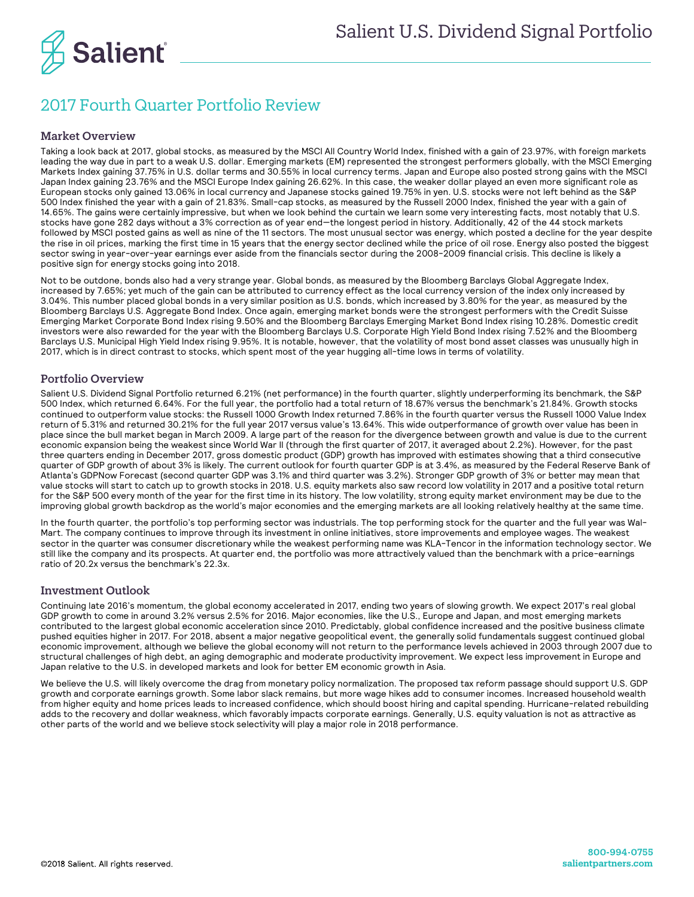

## 2017 Fourth Quarter Portfolio Review

## Market Overview

Taking a look back at 2017, global stocks, as measured by the MSCI All Country World Index, finished with a gain of 23.97%, with foreign markets leading the way due in part to a weak U.S. dollar. Emerging markets (EM) represented the strongest performers globally, with the MSCI Emerging Markets Index gaining 37.75% in U.S. dollar terms and 30.55% in local currency terms. Japan and Europe also posted strong gains with the MSCI Japan Index gaining 23.76% and the MSCI Europe Index gaining 26.62%. In this case, the weaker dollar played an even more significant role as European stocks only gained 13.06% in local currency and Japanese stocks gained 19.75% in yen. U.S. stocks were not left behind as the S&P 500 Index finished the year with a gain of 21.83%. Small-cap stocks, as measured by the Russell 2000 Index, finished the year with a gain of 14.65%. The gains were certainly impressive, but when we look behind the curtain we learn some very interesting facts, most notably that U.S. stocks have gone 282 days without a 3% correction as of year end—the longest period in history. Additionally, 42 of the 44 stock markets followed by MSCI posted gains as well as nine of the 11 sectors. The most unusual sector was energy, which posted a decline for the year despite the rise in oil prices, marking the first time in 15 years that the energy sector declined while the price of oil rose. Energy also posted the biggest sector swing in year-over-year earnings ever aside from the financials sector during the 2008-2009 financial crisis. This decline is likely a positive sign for energy stocks going into 2018.

Not to be outdone, bonds also had a very strange year. Global bonds, as measured by the Bloomberg Barclays Global Aggregate Index, increased by 7.65%; yet much of the gain can be attributed to currency effect as the local currency version of the index only increased by 3.04%. This number placed global bonds in a very similar position as U.S. bonds, which increased by 3.80% for the year, as measured by the Bloomberg Barclays U.S. Aggregate Bond Index. Once again, emerging market bonds were the strongest performers with the Credit Suisse Emerging Market Corporate Bond Index rising 9.50% and the Bloomberg Barclays Emerging Market Bond Index rising 10.28%. Domestic credit investors were also rewarded for the year with the Bloomberg Barclays U.S. Corporate High Yield Bond Index rising 7.52% and the Bloomberg Barclays U.S. Municipal High Yield Index rising 9.95%. It is notable, however, that the volatility of most bond asset classes was unusually high in 2017, which is in direct contrast to stocks, which spent most of the year hugging all-time lows in terms of volatility.

## Portfolio Overview

Salient U.S. Dividend Signal Portfolio returned 6.21% (net performance) in the fourth quarter, slightly underperforming its benchmark, the S&P 500 Index, which returned 6.64%. For the full year, the portfolio had a total return of 18.67% versus the benchmark's 21.84%. Growth stocks continued to outperform value stocks: the Russell 1000 Growth Index returned 7.86% in the fourth quarter versus the Russell 1000 Value Index return of 5.31% and returned 30.21% for the full year 2017 versus value's 13.64%. This wide outperformance of growth over value has been in place since the bull market began in March 2009. A large part of the reason for the divergence between growth and value is due to the current economic expansion being the weakest since World War II (through the first quarter of 2017, it averaged about 2.2%). However, for the past three quarters ending in December 2017, gross domestic product (GDP) growth has improved with estimates showing that a third consecutive quarter of GDP growth of about 3% is likely. The current outlook for fourth quarter GDP is at 3.4%, as measured by the Federal Reserve Bank of Atlanta's GDPNow Forecast (second quarter GDP was 3.1% and third quarter was 3.2%). Stronger GDP growth of 3% or better may mean that value stocks will start to catch up to growth stocks in 2018. U.S. equity markets also saw record low volatility in 2017 and a positive total return for the S&P 500 every month of the year for the first time in its history. The low volatility, strong equity market environment may be due to the improving global growth backdrop as the world's major economies and the emerging markets are all looking relatively healthy at the same time.

In the fourth quarter, the portfolio's top performing sector was industrials. The top performing stock for the quarter and the full year was Wal-Mart. The company continues to improve through its investment in online initiatives, store improvements and employee wages. The weakest sector in the quarter was consumer discretionary while the weakest performing name was KLA-Tencor in the information technology sector. We still like the company and its prospects. At quarter end, the portfolio was more attractively valued than the benchmark with a price-earnings ratio of 20.2x versus the benchmark's 22.3x.

## Investment Outlook

Continuing late 2016's momentum, the global economy accelerated in 2017, ending two years of slowing growth. We expect 2017's real global GDP growth to come in around 3.2% versus 2.5% for 2016. Major economies, like the U.S., Europe and Japan, and most emerging markets contributed to the largest global economic acceleration since 2010. Predictably, global confidence increased and the positive business climate pushed equities higher in 2017. For 2018, absent a major negative geopolitical event, the generally solid fundamentals suggest continued global economic improvement, although we believe the global economy will not return to the performance levels achieved in 2003 through 2007 due to structural challenges of high debt, an aging demographic and moderate productivity improvement. We expect less improvement in Europe and Japan relative to the U.S. in developed markets and look for better EM economic growth in Asia.

We believe the U.S. will likely overcome the drag from monetary policy normalization. The proposed tax reform passage should support U.S. GDP growth and corporate earnings growth. Some labor slack remains, but more wage hikes add to consumer incomes. Increased household wealth from higher equity and home prices leads to increased confidence, which should boost hiring and capital spending. Hurricane-related rebuilding adds to the recovery and dollar weakness, which favorably impacts corporate earnings. Generally, U.S. equity valuation is not as attractive as other parts of the world and we believe stock selectivity will play a major role in 2018 performance.